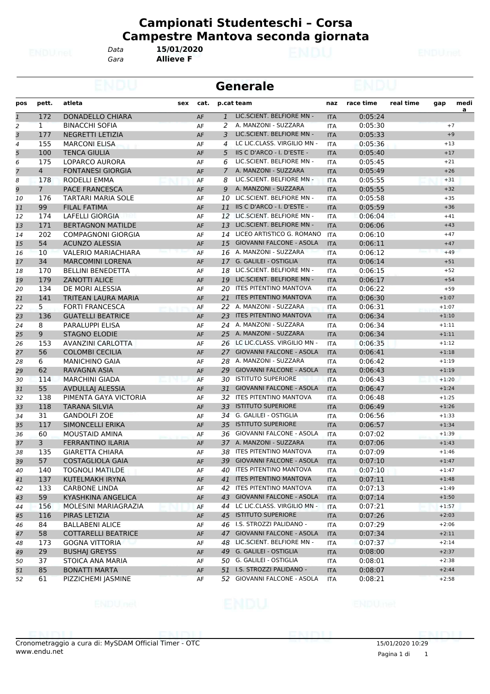*Gara* **Allieve F** *Data* **15/01/2020**

|                |                |                                           |     |      |                | <b>Generale</b>                 |            |           |           |         |                |
|----------------|----------------|-------------------------------------------|-----|------|----------------|---------------------------------|------------|-----------|-----------|---------|----------------|
| pos            | pett.          | atleta                                    | sex | cat. |                | p.cat team                      | naz        | race time | real time | gap     | medi           |
| $\overline{1}$ | 172            | DONADELLO CHIARA                          |     | AF   | $\mathbf{1}$   | LIC.SCIENT. BELFIORE MN -       | <b>ITA</b> | 0:05:24   |           |         | $\overline{a}$ |
| $\overline{a}$ | $\mathbf{1}$   | <b>BINACCHI SOFIA</b>                     |     | AF   | 2              | A. MANZONI - SUZZARA            | <b>ITA</b> | 0:05:30   |           |         | $+7$           |
| 3              | 177            | <b>NEGRETTI LETIZIA</b>                   |     | AF   | 3              | LIC.SCIENT. BELFIORE MN -       | <b>ITA</b> | 0:05:33   |           |         | $+9$           |
| 4              | 155            | <b>MARCONI ELISA</b>                      |     | AF   | 4              | LC LIC.CLASS. VIRGILIO MN -     | <b>ITA</b> | 0:05:36   |           | $+13$   |                |
| 5              | 100            | <b>TENCA GIULIA</b>                       |     | AF   | 5              | IIS C D'ARCO - I. D'ESTE -      | <b>ITA</b> | 0:05:40   |           | $+17$   |                |
| 6              | 175            | <b>LOPARCO AURORA</b>                     |     | AF   | 6              | LIC.SCIENT. BELFIORE MN -       | <b>ITA</b> | 0:05:45   |           | $+21$   |                |
| $\overline{7}$ | $\overline{4}$ | <b>FONTANESI GIORGIA</b>                  |     | AF   | $\overline{7}$ | A. MANZONI - SUZZARA            | <b>ITA</b> | 0:05:49   |           | $+26$   |                |
| 8              | 178            | RODELLI EMMA                              |     | AF   | 8              | LIC.SCIENT. BELFIORE MN -       | <b>ITA</b> | 0:05:55   |           | $+31$   |                |
| 9              | 7 <sup>1</sup> | <b>PACE FRANCESCA</b>                     |     | AF   | 9              | A. MANZONI - SUZZARA            | <b>ITA</b> | 0:05:55   |           | $+32$   |                |
| 10             | 176            | TARTARI MARIA SOLE                        |     | AF   |                | 10 LIC.SCIENT. BELFIORE MN -    | <b>ITA</b> | 0:05:58   |           | $+35$   |                |
| 11             | 99             | <b>FILAL FATIMA</b>                       |     | AF   |                | 11 IIS C D'ARCO - I. D'ESTE -   | <b>ITA</b> | 0:05:59   |           | $+36$   |                |
| 12             | 174            | <b>LAFELLI GIORGIA</b>                    |     | AF   | 12             | LIC.SCIENT. BELFIORE MN -       | ITA        | 0:06:04   |           | $+41$   |                |
| 13             | 171            | <b>BERTAGNON MATILDE</b>                  |     | AF   | 13             | LIC.SCIENT. BELFIORE MN -       | <b>ITA</b> | 0:06:06   |           | $+43$   |                |
| 14             | 202            | <b>COMPAGNONI GIORGIA</b>                 |     | AF   | 14             | LICEO ARTISTICO G. ROMANO       | <b>ITA</b> | 0:06:10   |           | $+47$   |                |
| 15             | 54             | <b>ACUNZO ALESSIA</b>                     |     | AF   | 15             | <b>GIOVANNI FALCONE - ASOLA</b> | <b>ITA</b> | 0:06:11   |           | $+47$   |                |
| 16             | 10             | <b>VALERIO MARIACHIARA</b>                |     | AF   |                | 16 A. MANZONI - SUZZARA         | <b>ITA</b> | 0:06:12   |           | $+49$   |                |
| 17             | 34             | <b>MARCOMINI LORENA</b>                   |     | AF   |                | 17 G. GALILEI - OSTIGLIA        | <b>ITA</b> | 0:06:14   |           | $+51$   |                |
| 18             | 170            | <b>BELLINI BENEDETTA</b>                  |     | AF   | 18             | LIC.SCIENT. BELFIORE MN -       | <b>ITA</b> | 0:06:15   |           | $+52$   |                |
| 19             | 179            | <b>ZANOTTI ALICE</b>                      |     | AF   |                | 19 LIC.SCIENT. BELFIORE MN -    | <b>ITA</b> | 0:06:17   |           | $+54$   |                |
| 20             | 134            | DE MORI ALESSIA                           |     | AF   | 20             | ITES PITENTINO MANTOVA          | <b>ITA</b> | 0:06:22   |           | $+59$   |                |
| 21             | 141            | TRITEAN LAURA MARIA                       |     | AF   | 21             | <b>ITES PITENTINO MANTOVA</b>   | <b>ITA</b> | 0:06:30   |           | $+1:07$ |                |
| 22             | 5.             | <b>FORTI FRANCESCA</b>                    |     | AF   |                | 22 A. MANZONI - SUZZARA         | ITA        | 0:06:31   |           | $+1:07$ |                |
| 23             | 136            | <b>GUATELLI BEATRICE</b>                  |     | AF   | 23             | <b>ITES PITENTINO MANTOVA</b>   | <b>ITA</b> | 0:06:34   |           | $+1:10$ |                |
| 24             | 8              | PARALUPPI ELISA                           |     | AF   |                | 24 A. MANZONI - SUZZARA         | <b>ITA</b> | 0:06:34   |           | $+1:11$ |                |
| 25             | 9              | <b>STAGNO ELODIE</b>                      |     | AF   |                | 25 A. MANZONI - SUZZARA         | <b>ITA</b> | 0:06:34   |           | $+1:11$ |                |
| 26             | 153            | <b>AVANZINI CARLOTTA</b>                  |     | AF   | 26             | LC LIC.CLASS. VIRGILIO MN -     | <b>ITA</b> | 0:06:35   |           | $+1:12$ |                |
| 27             | 56             | <b>COLOMBI CECILIA</b>                    |     | AF   | 27             | <b>GIOVANNI FALCONE - ASOLA</b> | <b>ITA</b> | 0:06:41   |           | $+1:18$ |                |
| 28             | 6              | <b>MANICHINO GAIA</b>                     |     | AF   |                | 28 A. MANZONI - SUZZARA         | <b>ITA</b> | 0:06:42   |           | $+1:19$ |                |
| 29             | 62             | RAVAGNA ASIA                              |     | AF   | 29             | <b>GIOVANNI FALCONE - ASOLA</b> | <b>ITA</b> | 0:06:43   |           | $+1:19$ |                |
| 30             | 114            | <b>MARCHINI GIADA</b>                     |     | AF   | 30             | <b>ISTITUTO SUPERIORE</b>       | <b>ITA</b> | 0:06:43   |           | $+1:20$ |                |
|                | 55             |                                           |     |      | 31             | <b>GIOVANNI FALCONE - ASOLA</b> |            | 0:06:47   |           | $+1:24$ |                |
| 31             | 138            | AVDULLAJ ALESSIA<br>PIMENTA GAYA VICTORIA |     | AF   |                | 32 ITES PITENTINO MANTOVA       | <b>ITA</b> |           |           |         |                |
| 32             |                |                                           |     | AF   |                | <b>ISTITUTO SUPERIORE</b>       | <b>ITA</b> | 0:06:48   |           | $+1:25$ |                |
| 33             | 118            | <b>TARANA SILVIA</b>                      |     | AF   | 33             | 34 G. GALILEI - OSTIGLIA        | <b>ITA</b> | 0:06:49   |           | $+1:26$ |                |
| 34             | 31             | <b>GANDOLFI ZOE</b>                       |     | AF   |                |                                 | <b>ITA</b> | 0:06:56   |           | $+1:33$ |                |
| 35             | 117            | SIMONCELLI ERIKA                          |     | AF   |                | 35 ISTITUTO SUPERIORE           | <b>ITA</b> | 0:06:57   |           | $+1:34$ |                |
| 36             | 60             | MOUSTAID AMINA                            |     | AF   | 36             | GIOVANNI FALCONE - ASOLA        | ITA        | 0:07:02   |           | $+1:39$ |                |
| 37             | 3              | <b>FERRANTINO ILARIA</b>                  |     | AF   |                | 37 A. MANZONI - SUZZARA         | <b>ITA</b> | 0:07:06   |           | $+1:43$ |                |
| 38             | 135            | <b>GIARETTA CHIARA</b>                    |     | AF   |                | 38 ITES PITENTINO MANTOVA       | <b>ITA</b> | 0:07:09   |           | $+1:46$ |                |
| 39             | 57             | <b>COSTAGLIOLA GAIA</b>                   |     | AF   |                | 39 GIOVANNI FALCONE - ASOLA     | <b>ITA</b> | 0:07:10   |           | $+1:47$ |                |
| 40             | 140            | <b>TOGNOLI MATILDE</b>                    |     | AF   |                | 40 ITES PITENTINO MANTOVA       | ITA        | 0:07:10   |           | $+1:47$ |                |
| 41             | 137            | KUTELMAKH IRYNA                           |     | AF   |                | 41 ITES PITENTINO MANTOVA       | <b>ITA</b> | 0:07:11   |           | $+1:48$ |                |
| 42             | 133            | <b>CARBONE LINDA</b>                      |     | AF   |                | 42 ITES PITENTINO MANTOVA       | ITA        | 0:07:13   |           | $+1:49$ |                |
| 43             | 59             | KYASHKINA ANGELICA                        |     | AF   |                | 43 GIOVANNI FALCONE - ASOLA     | <b>ITA</b> | 0:07:14   |           | $+1:50$ |                |
| 44             | 156            | MOLESINI MARIAGRAZIA                      |     | AF   | 44             | LC LIC.CLASS. VIRGILIO MN -     | <b>ITA</b> | 0:07:21   |           | $+1:57$ |                |
| 45             | 116            | PIRAS LETIZIA                             |     | AF   |                | 45 ISTITUTO SUPERIORE           | <b>ITA</b> | 0:07:26   |           | $+2:03$ |                |
| 46             | 84             | <b>BALLABENI ALICE</b>                    |     | AF   |                | 46 I.S. STROZZI PALIDANO -      | <b>ITA</b> | 0:07:29   |           | $+2:06$ |                |
| 47             | 58             | <b>COTTARELLI BEATRICE</b>                |     | AF   |                | 47 GIOVANNI FALCONE - ASOLA     | <b>ITA</b> | 0:07:34   |           | $+2:11$ |                |
| 48             | 173            | <b>GOGNA VITTORIA</b>                     |     | AF   |                | 48 LIC.SCIENT. BELFIORE MN -    | ITA        | 0:07:37   |           | $+2:14$ |                |
| 49             | 29             | <b>BUSHAJ GREYSS</b>                      |     | AF   |                | 49 G. GALILEI - OSTIGLIA        | <b>ITA</b> | 0:08:00   |           | $+2:37$ |                |
| 50             | 37             | STOICA ANA MARIA                          |     | AF   |                | 50 G. GALILEI - OSTIGLIA        | ITA        | 0:08:01   |           | $+2:38$ |                |
| 51             | 85             | <b>BONATTI MARTA</b>                      |     | AF   |                | 51 I.S. STROZZI PALIDANO -      | <b>ITA</b> | 0:08:07   |           | $+2:44$ |                |
| 52             | 61             | PIZZICHEMI JASMINE                        |     | AF   |                | 52 GIOVANNI FALCONE - ASOLA     | <b>ITA</b> | 0:08:21   |           | $+2:58$ |                |
|                |                |                                           |     |      |                |                                 |            |           |           |         |                |

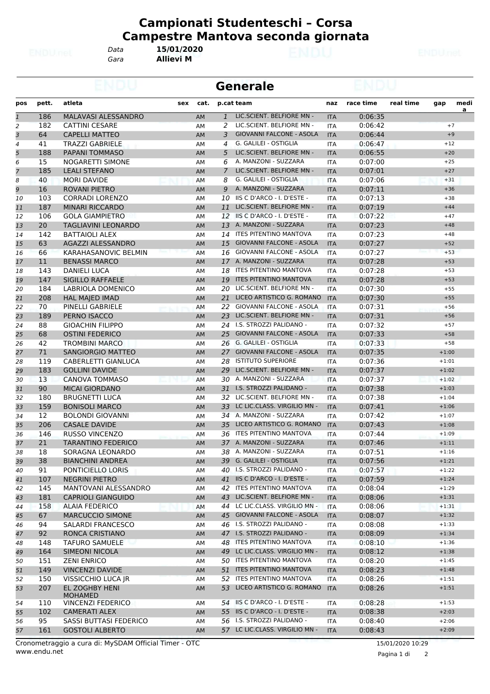*Gara* **Allievi M** *Data* **15/01/2020**

**Generale**

| pos            | pett. | atleta<br>sex                    | cat.      |                | p.cat team                      | naz        | race time | real time | gap     | medi<br>a |
|----------------|-------|----------------------------------|-----------|----------------|---------------------------------|------------|-----------|-----------|---------|-----------|
| $\mathbf{1}$   | 186   | MALAVASI ALESSANDRO              | AM        | $\mathbf{1}$   | LIC.SCIENT. BELFIORE MN -       | <b>ITA</b> | 0:06:35   |           |         |           |
| $\overline{a}$ | 182   | <b>CATTINI CESARE</b>            | AM        | 2              | LIC.SCIENT. BELFIORE MN -       | <b>ITA</b> | 0:06:42   |           | $+7$    |           |
| 3              | 64    | <b>CAPELLI MATTEO</b>            | <b>AM</b> | 3              | <b>GIOVANNI FALCONE - ASOLA</b> | <b>ITA</b> | 0:06:44   |           | $+9$    |           |
| 4              | 41    | <b>TRAZZI GABRIELE</b>           | AM        | 4              | G. GALILEI - OSTIGLIA           | <b>ITA</b> | 0:06:47   |           | $+12$   |           |
| 5              | 188   | <b>PAPANI TOMMASO</b>            | AM        | 5              | LIC.SCIENT. BELFIORE MN -       | <b>ITA</b> | 0:06:55   |           | $+20$   |           |
| 6              | 15    | NOGARETTI SIMONE                 | AM        | 6              | A. MANZONI - SUZZARA            | <b>ITA</b> | 0:07:00   |           | $+25$   |           |
| $\overline{7}$ | 185   | <b>LEALI STEFANO</b>             | AM        | $\overline{7}$ | LIC.SCIENT. BELFIORE MN -       | <b>ITA</b> | 0:07:01   |           | $+27$   |           |
| 8              | 40    | <b>MORI DAVIDE</b>               | AM        | 8              | G. GALILEI - OSTIGLIA           | <b>ITA</b> | 0:07:06   |           | $+31$   |           |
| 9              | 16    | <b>ROVANI PIETRO</b>             | AM        | 9              | A. MANZONI - SUZZARA            | <b>ITA</b> | 0:07:11   |           | $+36$   |           |
| 10             | 103   | <b>CORRADI LORENZO</b>           | AM        | 10             | IIS C D'ARCO - I. D'ESTE -      | <b>ITA</b> | 0:07:13   |           | $+38$   |           |
| 11             | 187   | <b>MINARI RICCARDO</b>           | AM        | 11             | LIC.SCIENT. BELFIORE MN -       | <b>ITA</b> | 0:07:19   |           | $+44$   |           |
| 12             | 106   | <b>GOLA GIAMPIETRO</b>           | AM        | 12             | IS C D'ARCO - I. D'ESTE -       | <b>ITA</b> | 0:07:22   |           | $+47$   |           |
| 13             | 20    | <b>TAGLIAVINI LEONARDO</b>       | AM        | 13             | A. MANZONI - SUZZARA            | <b>ITA</b> | 0:07:23   |           | $+48$   |           |
| 14             | 142   | <b>BATTAIOLI ALEX</b>            | AM        | 14             | ITES PITENTINO MANTOVA          | <b>ITA</b> | 0:07:23   |           | $+48$   |           |
| 15             | 63    | AGAZZI ALESSANDRO                | <b>AM</b> | 15             | <b>GIOVANNI FALCONE - ASOLA</b> | <b>ITA</b> | 0:07:27   |           | $+52$   |           |
| 16             | 66    | KARAHASANOVIC BELMIN             | AM        | 16             | <b>GIOVANNI FALCONE - ASOLA</b> | <b>ITA</b> | 0:07:27   |           | $+53$   |           |
| 17             | 11    | <b>BENASSI MARCO</b>             | AM        |                | 17 A. MANZONI - SUZZARA         | <b>ITA</b> | 0:07:28   |           | $+53$   |           |
| 18             | 143   | <b>DANIELI LUCA</b>              | AM        | 18             | <b>ITES PITENTINO MANTOVA</b>   | <b>ITA</b> | 0:07:28   |           | $+53$   |           |
|                | 147   | <b>SIGILLO RAFFAELE</b>          |           | 19             | <b>ITES PITENTINO MANTOVA</b>   |            | 0:07:28   |           | $+53$   |           |
| 19             |       |                                  | AM        |                |                                 | <b>ITA</b> |           |           |         |           |
| 20             | 184   | <b>LABRIOLA DOMENICO</b>         | AM        | 20             | LIC.SCIENT. BELFIORE MN -       | <b>ITA</b> | 0:07:30   |           | $+55$   |           |
| 21             | 208   | <b>HAL MAJED IMAD</b>            | AM        | 21             | LICEO ARTISTICO G. ROMANO       | <b>ITA</b> | 0:07:30   |           | $+55$   |           |
| 22             | 70    | PINELLI GABRIELE                 | AM        | 22             | GIOVANNI FALCONE - ASOLA        | <b>ITA</b> | 0:07:31   |           | $+56$   |           |
| 23             | 189   | PERNO ISACCO                     | AM        | 23             | LIC.SCIENT. BELFIORE MN -       | <b>ITA</b> | 0:07:31   |           | $+56$   |           |
| 24             | 88    | <b>GIOACHIN FILIPPO</b>          | AM        |                | 24 I.S. STROZZI PALIDANO -      | <b>ITA</b> | 0:07:32   |           | $+57$   |           |
| 25             | 68    | <b>OSTINI FEDERICO</b>           | AM        | 25             | <b>GIOVANNI FALCONE - ASOLA</b> | <b>ITA</b> | 0:07:33   |           | $+58$   |           |
| 26             | 42    | <b>TROMBINI MARCO</b>            | AM        | 26             | G. GALILEI - OSTIGLIA           | <b>ITA</b> | 0:07:33   |           | $+58$   |           |
| 27             | 71    | <b>SANGIORGIO MATTEO</b>         | <b>AM</b> | 27             | <b>GIOVANNI FALCONE - ASOLA</b> | <b>ITA</b> | 0:07:35   |           | $+1:00$ |           |
| 28             | 119   | CABERLETTI GIANLUCA              | AM        | 28             | <b>ISTITUTO SUPERIORE</b>       | <b>ITA</b> | 0:07:36   |           | $+1:01$ |           |
| 29             | 183   | <b>GOLLINI DAVIDE</b>            | AM        | 29             | LIC.SCIENT. BELFIORE MN -       | <b>ITA</b> | 0:07:37   |           | $+1:02$ |           |
| 30             | 13    | <b>CANOVA TOMMASO</b>            | AM        | 30             | A. MANZONI - SUZZARA            | <b>ITA</b> | 0:07:37   |           | $+1:02$ |           |
| 31             | 90    | <b>MICAI GIORDANO</b>            | AM        |                | 31 I.S. STROZZI PALIDANO -      | <b>ITA</b> | 0:07:38   |           | $+1:03$ |           |
| 32             | 180   | <b>BRUGNETTI LUCA</b>            | AM        | 32             | LIC.SCIENT. BELFIORE MN -       | <b>ITA</b> | 0:07:38   |           | $+1:04$ |           |
| 33             | 159   | <b>BONISOLI MARCO</b>            | AM        | 33             | LC LIC.CLASS. VIRGILIO MN -     | <b>ITA</b> | 0:07:41   |           | $+1:06$ |           |
| 34             | 12    | <b>BOLONDI GIOVANNI</b>          | AM        | 34             | A. MANZONI - SUZZARA            | ITA        | 0:07:42   |           | $+1:07$ |           |
| 35             | 206   | <b>CASALE DAVIDE</b>             | AM        | 35             | LICEO ARTISTICO G. ROMANO       | <b>ITA</b> | 0:07:43   |           | $+1:08$ |           |
| 36             | 146   | <b>RUSSO VINCENZO</b>            | AM        |                | 36 ITES PITENTINO MANTOVA       | ITA        | 0:07:44   |           | $+1:09$ |           |
| 37             | 21    | <b>TARANTINO FEDERICO</b>        | AM        |                | 37 A. MANZONI - SUZZARA         | <b>ITA</b> | 0:07:46   |           | $+1:11$ |           |
| 38             | 18    | SORAGNA LEONARDO                 | AM        | 38             | A. MANZONI - SUZZARA            | <b>ITA</b> | 0:07:51   |           | $+1:16$ |           |
| 39             | 38    | <b>BIANCHINI ANDREA</b>          | AM        |                | 39 G. GALILEI - OSTIGLIA        | <b>ITA</b> | 0:07:56   |           | $+1:21$ |           |
| 40             | 91    | PONTICIELLO LORIS                | AM        |                | 40 I.S. STROZZI PALIDANO -      | ITA        | 0:07:57   |           | $+1:22$ |           |
| 41             | 107   | NEGRINI PIETRO                   | AM        |                | 41 IS C D'ARCO - I. D'ESTE -    | <b>ITA</b> | 0:07:59   |           | $+1:24$ |           |
| 42             | 145   | MANTOVANI ALESSANDRO             | АM        |                | 42 ITES PITENTINO MANTOVA       | ITA        | 0:08:04   |           | $+1:29$ |           |
| 43             | 181   | <b>CAPRIOLI GIANGUIDO</b>        | AM        |                | 43 LIC.SCIENT. BELFIORE MN -    | <b>ITA</b> | 0:08:06   |           | $+1:31$ |           |
| 44             | 158   | <b>ALAIA FEDERICO</b>            | AM        |                | 44 LC LIC.CLASS. VIRGILIO MN -  | ITA        | 0:08:06   |           | $+1:31$ |           |
| 45             | 67    | <b>MARCUCCIO SIMONE</b>          | AM        |                | 45 GIOVANNI FALCONE - ASOLA     | <b>ITA</b> | 0:08:07   |           | $+1:32$ |           |
| 46             | 94    | SALARDI FRANCESCO                | АM        |                | 46 I.S. STROZZI PALIDANO -      | ITA        | 0:08:08   |           | $+1:33$ |           |
| 47             | 92    | RONCA CRISTIANO                  | AM        |                | 47 I.S. STROZZI PALIDANO -      | <b>ITA</b> | 0:08:09   |           | $+1:34$ |           |
| 48             | 148   | <b>TAFURO SAMUELE</b>            | АM        |                | 48 ITES PITENTINO MANTOVA       | ITA        | 0:08:10   |           | $+1:36$ |           |
| 49             | 164   | <b>SIMEONI NICOLA</b>            |           |                | 49 LC LIC.CLASS. VIRGILIO MN -  | <b>ITA</b> | 0:08:12   |           | $+1:38$ |           |
|                |       |                                  | AM        |                | 50 ITES PITENTINO MANTOVA       |            |           |           |         |           |
| 50             | 151   | <b>ZENI ENRICO</b>               | AM        |                |                                 | ITA        | 0:08:20   |           | $+1:45$ |           |
| 51             | 149   | <b>VINCENZI DAVIDE</b>           | AM        |                | 51 ITES PITENTINO MANTOVA       | <b>ITA</b> | 0:08:23   |           | $+1:48$ |           |
| 52             | 150   | VISSICCHIO LUCA JR               | AΜ        |                | 52 ITES PITENTINO MANTOVA       | ITA        | 0:08:26   |           | $+1:51$ |           |
| 53             | 207   | EL ZOGHBY HENI<br><b>MOHAMED</b> | AM        |                | 53 LICEO ARTISTICO G. ROMANO    | <b>ITA</b> | 0:08:26   |           | $+1:51$ |           |
| 54             | 110   | <b>VINCENZI FEDERICO</b>         | АM        |                | 54 IS C D'ARCO - I. D'ESTE -    | ITA        | 0:08:28   |           | $+1:53$ |           |
| 55             | 102   | CAMERATI ALEX                    | AM        |                | 55 IIS C D'ARCO - I. D'ESTE -   | <b>ITA</b> | 0:08:38   |           | $+2:03$ |           |
| 56             | 95    | SASSI BUTTASI FEDERICO           | АM        |                | 56 I.S. STROZZI PALIDANO -      | ITA        | 0:08:40   |           | $+2:06$ |           |
| 57             | 161   | <b>GOSTOLI ALBERTO</b>           | AM        |                | 57 LC LIC.CLASS. VIRGILIO MN -  | <b>ITA</b> | 0:08:43   |           | $+2:09$ |           |
|                |       |                                  |           |                |                                 |            |           |           |         |           |

Pagina 1 di 2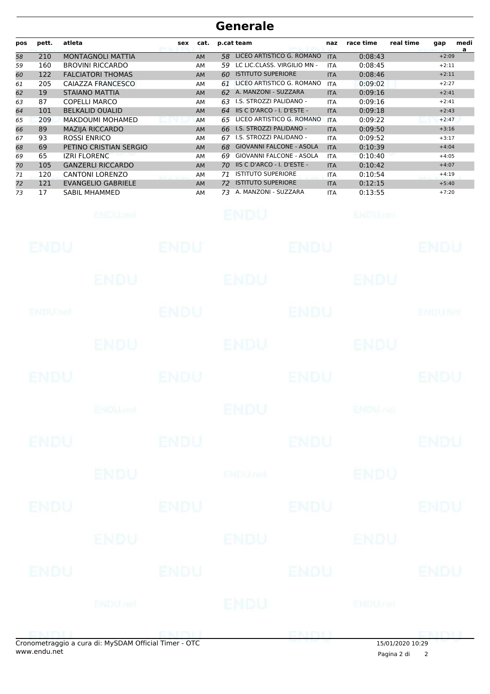## **Generale**

| pos      | pett.       | atleta                                            | <b>sex</b>  | cat.            |          | p.cat team                                             |                           | naz                      | race time                  | real time | gap                | medi |
|----------|-------------|---------------------------------------------------|-------------|-----------------|----------|--------------------------------------------------------|---------------------------|--------------------------|----------------------------|-----------|--------------------|------|
| 58       | 210         | MONTAGNOLI MATTIA                                 |             | AM              | 58       |                                                        | LICEO ARTISTICO G. ROMANO | <b>ITA</b>               | 0:08:43                    |           | $+2:09$            | a    |
| 59       | 160         | <b>BROVINI RICCARDO</b>                           |             | AM              | 59       | LC LIC.CLASS. VIRGILIO MN -                            |                           | <b>ITA</b>               | 0:08:45                    |           | $+2:11$            |      |
| 60       | 122         | <b>FALCIATORI THOMAS</b>                          |             | AM              | 60       | <b>ISTITUTO SUPERIORE</b>                              |                           | <b>ITA</b>               | 0:08:46                    |           | $+2:11$            |      |
| 61       | 205         | CAIAZZA FRANCESCO                                 |             | AM              | 61       |                                                        | LICEO ARTISTICO G. ROMANO | <b>ITA</b>               | 0:09:02                    |           | $+2:27$            |      |
| 62       | 19          | <b>STAIANO MATTIA</b>                             |             | AM              |          | 62 A. MANZONI - SUZZARA                                |                           | <b>ITA</b>               | 0:09:16                    |           | $+2:41$            |      |
| 63       | 87          | <b>COPELLI MARCO</b>                              |             | AM              | 63       | I.S. STROZZI PALIDANO -                                |                           | <b>ITA</b>               | 0:09:16                    |           | $+2:41$            |      |
| 64       | 101         | <b>BELKALID OUALID</b>                            |             | AM              | 64       | IIS C D'ARCO - I. D'ESTE -                             |                           | <b>ITA</b>               | 0:09:18                    |           | $+2:43$            |      |
| 65       | 209         | MAKDOUMI MOHAMED                                  |             | <b>AM</b>       | 65       |                                                        | LICEO ARTISTICO G. ROMANO | <b>ITA</b>               | 0:09:22                    |           | $+2:47$            |      |
| 66       | 89          | MAZIJA RICCARDO                                   |             | <b>AM</b>       | 66       | I.S. STROZZI PALIDANO -                                |                           | <b>ITA</b>               | 0:09:50                    |           | $+3:16$            |      |
| 67       | 93          | <b>ROSSI ENRICO</b>                               |             | AM              | 67       | I.S. STROZZI PALIDANO -                                |                           | <b>ITA</b>               | 0:09:52                    |           | $+3:17$            |      |
| 68       | 69          | PETINO CRISTIAN SERGIO                            |             | AM              | 68       | <b>GIOVANNI FALCONE - ASOLA</b>                        |                           | <b>ITA</b>               | 0:10:39                    |           | $+4:04$            |      |
| 69       | 65          | <b>IZRI FLORENC</b>                               |             | AM              | 69       | <b>GIOVANNI FALCONE - ASOLA</b>                        |                           | <b>ITA</b>               | 0:10:40                    |           | $+4:05$            |      |
| 70       | 105         | <b>GANZERLI RICCARDO</b>                          |             | AM              | 70       | IIS C D'ARCO - I. D'ESTE -                             |                           | <b>ITA</b>               | 0:10:42                    |           | $+4:07$            |      |
| 71       | 120         | <b>CANTONI LORENZO</b>                            |             | AM              | 71       | <b>ISTITUTO SUPERIORE</b><br><b>ISTITUTO SUPERIORE</b> |                           | <b>ITA</b>               | 0:10:54                    |           | $+4:19$            |      |
| 72<br>73 | 121<br>17   | <b>EVANGELIO GABRIELE</b><br><b>SABIL MHAMMED</b> |             | <b>AM</b><br>AM | 72<br>73 | A. MANZONI - SUZZARA                                   |                           | <b>ITA</b><br><b>ITA</b> | 0:12:15<br>0:13:55         |           | $+5:40$<br>$+7:20$ |      |
|          |             |                                                   |             |                 |          |                                                        |                           |                          |                            |           |                    |      |
|          |             | ENDU, nel                                         |             |                 |          | ENDU                                                   |                           |                          | <b>ENDUnet</b>             |           |                    |      |
|          | ENDU        |                                                   | ENDU        |                 |          |                                                        | ENDU                      |                          |                            |           | ENDU               |      |
|          |             | ENDU                                              |             |                 |          | <b>ENDU</b>                                            |                           |                          | ENDU                       |           |                    |      |
|          |             |                                                   |             |                 |          |                                                        |                           |                          |                            |           |                    |      |
|          | ENDUMet     |                                                   | <b>ENDU</b> |                 |          |                                                        | <b>ENDU</b>               |                          |                            |           | ENDUnet            |      |
|          |             |                                                   |             |                 |          |                                                        |                           |                          |                            |           |                    |      |
|          |             | ENDU.                                             |             |                 |          | ENDU                                                   |                           |                          | ENDU                       |           |                    |      |
|          |             |                                                   |             |                 |          |                                                        |                           |                          |                            |           |                    |      |
|          | ENDU        |                                                   | ENDU        |                 |          |                                                        | ENDU                      |                          |                            |           | ENDU               |      |
|          |             |                                                   |             |                 |          |                                                        |                           |                          |                            |           |                    |      |
|          |             | <b>ENDUmet</b>                                    |             |                 |          | <b>ENDU</b>                                            |                           |                          | <b>ENDU<sub>JICI</sub></b> |           |                    |      |
|          |             |                                                   |             |                 |          |                                                        |                           |                          |                            |           |                    |      |
|          | <b>ENDU</b> |                                                   | <b>ENDU</b> |                 |          |                                                        | <b>ENDU</b>               |                          |                            |           | <b>ENDU</b>        |      |
|          |             |                                                   |             |                 |          |                                                        |                           |                          |                            |           |                    |      |
|          |             | <b>ENDU</b>                                       |             |                 |          | <b>ENDU<sub>net</sub></b>                              |                           |                          | <b>ENDU</b>                |           |                    |      |
|          |             |                                                   |             |                 |          |                                                        |                           |                          |                            |           |                    |      |
|          | <b>ENDU</b> |                                                   | <b>ENDU</b> |                 |          |                                                        | <b>ENDU</b>               |                          |                            |           | <b>ENDU</b>        |      |
|          |             |                                                   |             |                 |          |                                                        |                           |                          |                            |           |                    |      |
|          |             |                                                   |             |                 |          |                                                        |                           |                          |                            |           |                    |      |
|          |             | ENDU                                              |             |                 |          | ENDU                                                   |                           |                          | ENDU                       |           |                    |      |
|          |             |                                                   |             |                 |          |                                                        |                           |                          |                            |           |                    |      |
|          |             |                                                   |             |                 |          |                                                        |                           |                          |                            |           |                    |      |
|          | <b>ENDU</b> |                                                   | <b>ENDU</b> |                 |          |                                                        | <b>ENDU</b>               |                          |                            |           | <b>ENDU</b>        |      |
|          |             |                                                   |             |                 |          |                                                        |                           |                          |                            |           |                    |      |
|          |             |                                                   |             |                 |          |                                                        |                           |                          |                            |           |                    |      |
|          |             | ENDUnet                                           |             |                 |          | ENDU                                                   |                           |                          | ENDUmet                    |           |                    |      |
|          |             |                                                   |             |                 |          |                                                        |                           |                          |                            |           |                    |      |
|          | EMBILI      |                                                   | ENDIL       |                 |          |                                                        | ENDU                      |                          |                            |           | <b>EMBIT</b>       |      |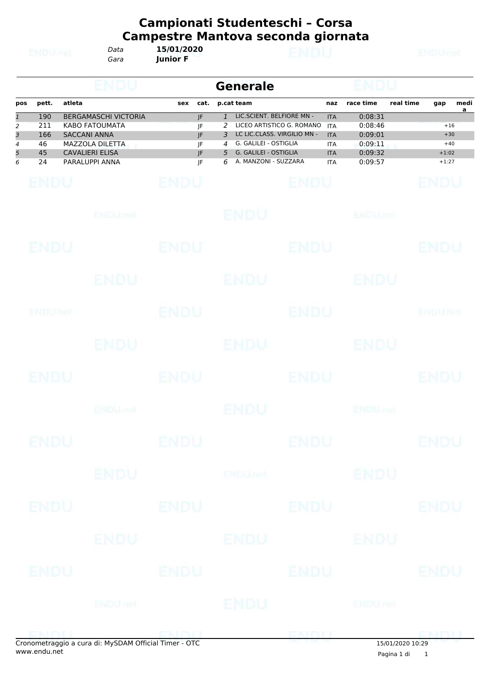| ۱<br>ĵ<br>s | LDEL, |  |
|-------------|-------|--|
| --          |       |  |

*Gara* **Junior F** *Data* **15/01/2020**

|                                       |                                     |                                                                                                                                                   |                                                | <b>Generale</b>                                                                                                                                                                                          |                                                                                  |                                                                |           |                                               |                        |
|---------------------------------------|-------------------------------------|---------------------------------------------------------------------------------------------------------------------------------------------------|------------------------------------------------|----------------------------------------------------------------------------------------------------------------------------------------------------------------------------------------------------------|----------------------------------------------------------------------------------|----------------------------------------------------------------|-----------|-----------------------------------------------|------------------------|
| pos                                   | pett.                               | atleta                                                                                                                                            | cat.<br>sex                                    | p.cat team                                                                                                                                                                                               | naz                                                                              | race time                                                      | real time | gap                                           | medi<br>$\overline{a}$ |
| $\mathbf{1}$<br>2<br>3<br>4<br>5<br>6 | 190<br>211<br>166<br>46<br>45<br>24 | <b>BERGAMASCHI VICTORIA</b><br><b>KABO FATOUMATA</b><br><b>SACCANI ANNA</b><br><b>MAZZOLA DILETTA</b><br><b>CAVALIERI ELISA</b><br>PARALUPPI ANNA | $\overline{J}$ F<br>JF<br>JF<br>JF<br>JF<br>JF | LIC.SCIENT. BELFIORE MN -<br>$\mathbf{1}$<br>LICEO ARTISTICO G. ROMANO<br>2<br>LC LIC.CLASS. VIRGILIO MN -<br>3<br>G. GALILEI - OSTIGLIA<br>4<br>G. GALILEI - OSTIGLIA<br>5<br>A. MANZONI - SUZZARA<br>6 | <b>ITA</b><br><b>ITA</b><br><b>ITA</b><br><b>ITA</b><br><b>ITA</b><br><b>ITA</b> | 0:08:31<br>0:08:46<br>0:09:01<br>0:09:11<br>0:09:32<br>0:09:57 |           | $+16$<br>$+30$<br>$+40$<br>$+1:02$<br>$+1:27$ |                        |
|                                       | <b>ENDU</b>                         |                                                                                                                                                   | <b>ENDU</b>                                    | <b>ENDU</b>                                                                                                                                                                                              |                                                                                  |                                                                |           | ENDU                                          |                        |
|                                       |                                     | ENDU, nel                                                                                                                                         |                                                | <b>ENDU</b>                                                                                                                                                                                              |                                                                                  | <b>ENDUnet</b>                                                 |           |                                               |                        |
|                                       | ENDU                                |                                                                                                                                                   | ENDU                                           | ENDU                                                                                                                                                                                                     |                                                                                  |                                                                |           | ENDU                                          |                        |
|                                       |                                     | ENDU                                                                                                                                              |                                                | <b>ENDU</b>                                                                                                                                                                                              |                                                                                  | ENDU                                                           |           |                                               |                        |
|                                       | ENDUMet                             |                                                                                                                                                   | ENDU                                           | <b>ENDU</b>                                                                                                                                                                                              |                                                                                  |                                                                |           | <b>ENDUTEL</b>                                |                        |
|                                       |                                     | ENDU                                                                                                                                              |                                                | ENDU                                                                                                                                                                                                     |                                                                                  | ENDU                                                           |           |                                               |                        |
|                                       | ENDU                                |                                                                                                                                                   | ENDU                                           | ENDU                                                                                                                                                                                                     |                                                                                  |                                                                |           | ENDU                                          |                        |
|                                       |                                     | <b>ENDUMBL</b>                                                                                                                                    |                                                | ENDU                                                                                                                                                                                                     |                                                                                  | <b>ENDU<sub>FIEL</sub></b>                                     |           |                                               |                        |
|                                       | ENDU                                |                                                                                                                                                   | <b>ENDU</b>                                    | <b>ENDU</b>                                                                                                                                                                                              |                                                                                  |                                                                |           | ENDU                                          |                        |
|                                       |                                     | <b>ENDU</b>                                                                                                                                       |                                                | <b>ENDUnet</b>                                                                                                                                                                                           |                                                                                  | <b>ENDU</b>                                                    |           |                                               |                        |
|                                       | <b>ENDU</b>                         |                                                                                                                                                   | <b>ENDU</b>                                    | <b>ENDU</b>                                                                                                                                                                                              |                                                                                  |                                                                |           | ENDU                                          |                        |
|                                       |                                     | ENDU                                                                                                                                              |                                                | ENDU                                                                                                                                                                                                     |                                                                                  | ENDU                                                           |           |                                               |                        |
|                                       | ENDU                                |                                                                                                                                                   | <b>ENDU</b>                                    | <b>ENDU</b>                                                                                                                                                                                              |                                                                                  |                                                                |           | <b>ENDU</b>                                   |                        |
|                                       |                                     | <b>ENDU</b> nel                                                                                                                                   |                                                | <b>ENDU</b>                                                                                                                                                                                              |                                                                                  | ENDUmet                                                        |           |                                               |                        |
|                                       | <b>ENTENT</b>                       |                                                                                                                                                   | ENDIL                                          | ENDI                                                                                                                                                                                                     |                                                                                  |                                                                |           | <b>DMALL</b>                                  |                        |